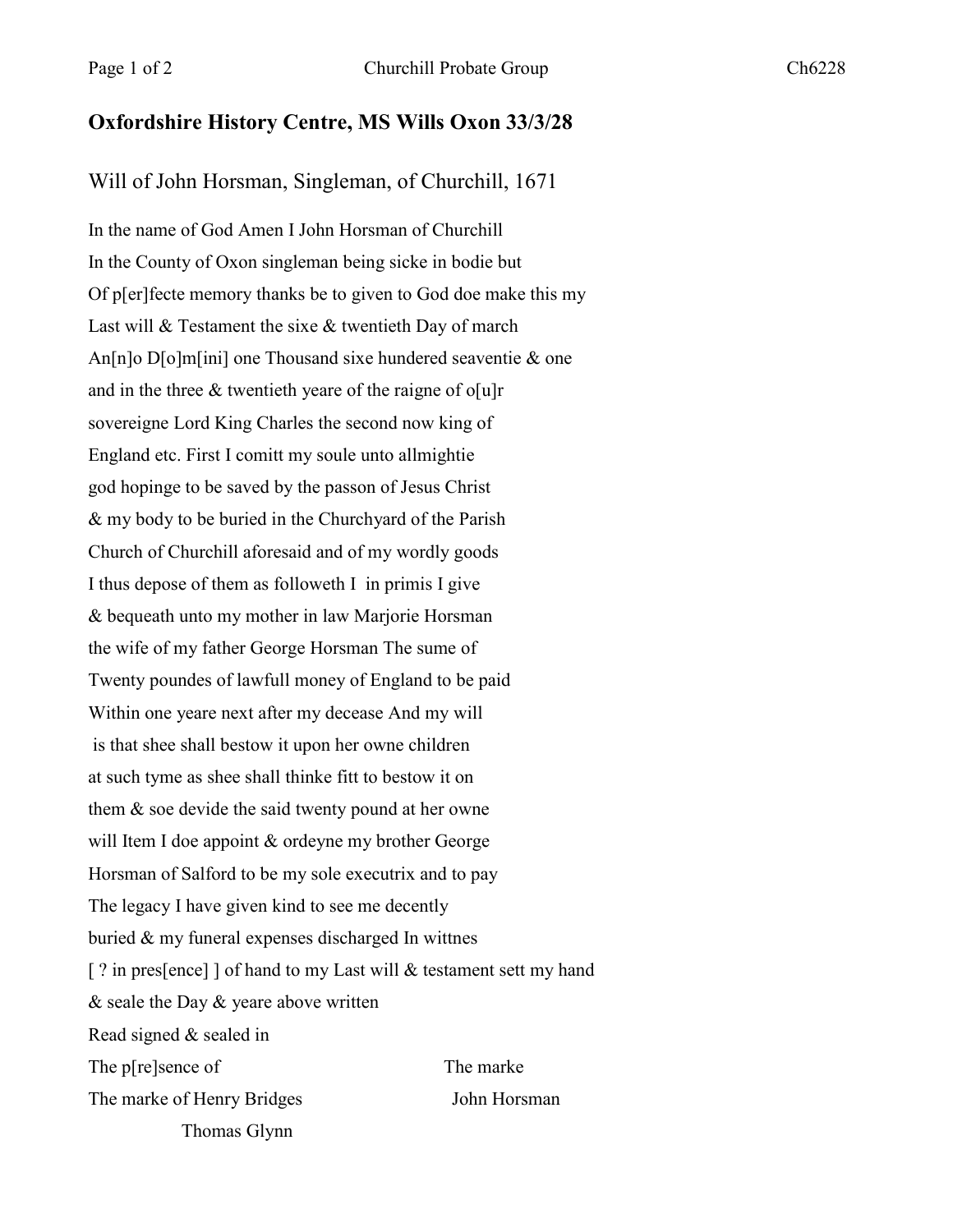## **Oxfordshire History Centre, MS Wills Oxon 33/3/28**

## Will of John Horsman, Singleman, of Churchill, 1671

In the name of God Amen I John Horsman of Churchill In the County of Oxon singleman being sicke in bodie but Of p[er]fecte memory thanks be to given to God doe make this my Last will & Testament the sixe & twentieth Day of march An[n]o D[o]m[ini] one Thousand sixe hundered seaventie & one and in the three  $\&$  twentieth yeare of the raigne of o[u]r sovereigne Lord King Charles the second now king of England etc. First I comitt my soule unto allmightie god hopinge to be saved by the passon of Jesus Christ & my body to be buried in the Churchyard of the Parish Church of Churchill aforesaid and of my wordly goods I thus depose of them as followeth I in primis I give & bequeath unto my mother in law Marjorie Horsman the wife of my father George Horsman The sume of Twenty poundes of lawfull money of England to be paid Within one yeare next after my decease And my will is that shee shall bestow it upon her owne children at such tyme as shee shall thinke fitt to bestow it on them & soe devide the said twenty pound at her owne will Item I doe appoint & ordeyne my brother George Horsman of Salford to be my sole executrix and to pay The legacy I have given kind to see me decently buried & my funeral expenses discharged In wittnes [? in pres[ence] ] of hand to my Last will & testament sett my hand & seale the Day & yeare above written Read signed & sealed in The p[re]sence of The marke The marke of Henry Bridges John Horsman Thomas Glynn